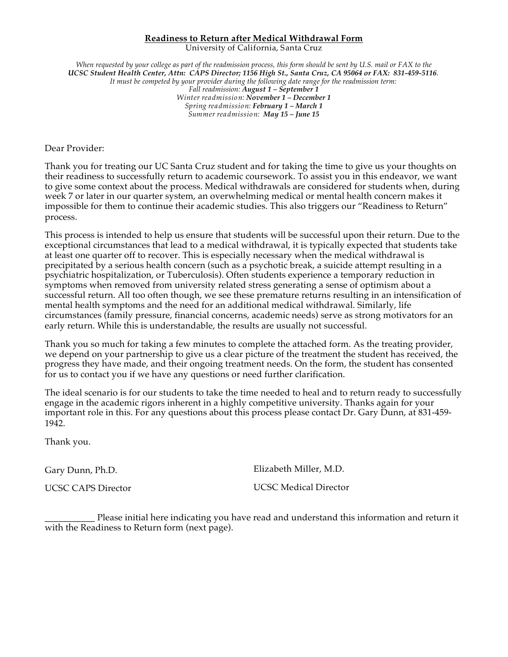## **Readiness to Return after Medical Withdrawal Form**

University of California, Santa Cruz

When requested by your college as part of the readmission process, this form should be sent by U.S. mail or FAX to the *UCSC Student Health Center, Attn: CAPS Director; 1156 High St., Santa Cruz, CA 95064 or FAX: 831-459-5116*. *It must be competed by your provider during the following date range for the readmission term: Fall readmission: August 1 – September 1 Winter readmission: November 1 – December 1 Spring readmission: February 1 – March 1 Summer readmission: May 15 – June 15*

Dear Provider:

Thank you for treating our UC Santa Cruz student and for taking the time to give us your thoughts on their readiness to successfully return to academic coursework. To assist you in this endeavor, we want to give some context about the process. Medical withdrawals are considered for students when, during week 7 or later in our quarter system, an overwhelming medical or mental health concern makes it impossible for them to continue their academic studies. This also triggers our "Readiness to Return" process.

This process is intended to help us ensure that students will be successful upon their return. Due to the exceptional circumstances that lead to a medical withdrawal, it is typically expected that students take at least one quarter off to recover. This is especially necessary when the medical withdrawal is precipitated by a serious health concern (such as a psychotic break, a suicide attempt resulting in a psychiatric hospitalization, or Tuberculosis). Often students experience a temporary reduction in symptoms when removed from university related stress generating a sense of optimism about a successful return. All too often though, we see these premature returns resulting in an intensification of mental health symptoms and the need for an additional medical withdrawal. Similarly, life circumstances (family pressure, financial concerns, academic needs) serve as strong motivators for an early return. While this is understandable, the results are usually not successful.

Thank you so much for taking a few minutes to complete the attached form. As the treating provider, we depend on your partnership to give us a clear picture of the treatment the student has received, the progress they have made, and their ongoing treatment needs. On the form, the student has consented for us to contact you if we have any questions or need further clarification.

The ideal scenario is for our students to take the time needed to heal and to return ready to successfully engage in the academic rigors inherent in a highly competitive university. Thanks again for your important role in this. For any questions about this process please contact Dr. Gary Dunn, at 831-459- 1942.

Thank you.

Gary Dunn, Ph.D.

UCSC CAPS Director

Elizabeth Miller, M.D.

UCSC Medical Director

Please initial here indicating you have read and understand this information and return it with the Readiness to Return form (next page).